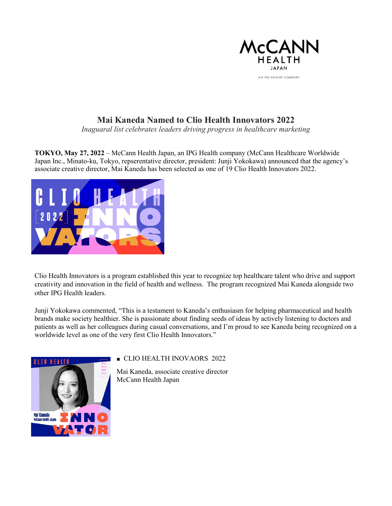

## **Mai Kaneda Named to Clio Health Innovators 2022**

*Inaguaral list celebrates leaders driving progress in healthcare marketing*

**TOKYO, May 27, 2022** – McCann Health Japan, an IPG Health company (McCann Healthcare Worldwide Japan Inc., Minato-ku, Tokyo, repserentative director, president: Junji Yokokawa) announced that the agency's associate creative director, Mai Kaneda has been selected as one of 19 Clio Health Innovators 2022.



Clio Health Innovators is a program established this year to recognize top healthcare talent who drive and support creativity and innovation in the field of health and wellness. The program recognized Mai Kaneda alongside two other IPG Health leaders.

Junji Yokokawa commented, "This is a testament to Kaneda's enthusiasm for helping pharmaceutical and health brands make society healthier. She is passionate about finding seeds of ideas by actively listening to doctors and patients as well as her colleagues during casual conversations, and I'm proud to see Kaneda being recognized on a worldwide level as one of the very first Clio Health Innovators."



## ■ CLIO HEALTH INOVAORS 2022

Mai Kaneda, associate creative director McCann Health Japan